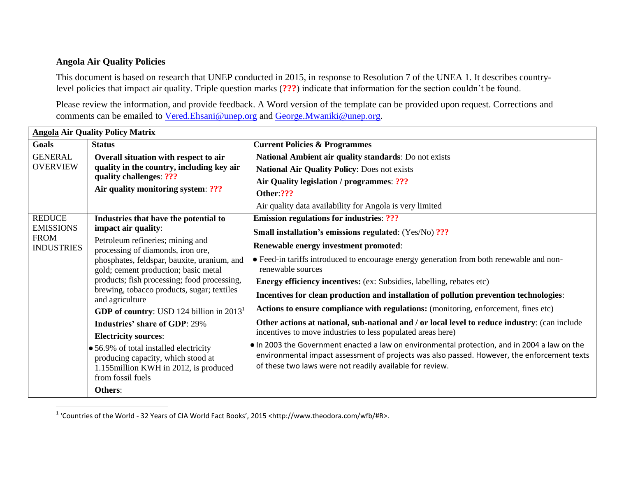## **Angola Air Quality Policies**

 $\overline{\phantom{a}}$ 

This document is based on research that UNEP conducted in 2015, in response to Resolution 7 of the UNEA 1. It describes countrylevel policies that impact air quality. Triple question marks (**???**) indicate that information for the section couldn't be found.

Please review the information, and provide feedback. A Word version of the template can be provided upon request. Corrections and comments can be emailed to [Vered.Ehsani@unep.org](mailto:Vered.Ehsani@unep.org) and [George.Mwaniki@unep.org.](mailto:George.Mwaniki@unep.org)

| <b>Angola Air Quality Policy Matrix</b>                               |                                                                                                                                                                                  |                                                                                                                                                         |  |  |
|-----------------------------------------------------------------------|----------------------------------------------------------------------------------------------------------------------------------------------------------------------------------|---------------------------------------------------------------------------------------------------------------------------------------------------------|--|--|
| <b>Goals</b>                                                          | <b>Status</b>                                                                                                                                                                    | <b>Current Policies &amp; Programmes</b>                                                                                                                |  |  |
| <b>GENERAL</b>                                                        | Overall situation with respect to air                                                                                                                                            | National Ambient air quality standards: Do not exists                                                                                                   |  |  |
| <b>OVERVIEW</b>                                                       | quality in the country, including key air<br>quality challenges: ???<br>Air quality monitoring system: ???                                                                       | <b>National Air Quality Policy: Does not exists</b>                                                                                                     |  |  |
|                                                                       |                                                                                                                                                                                  | Air Quality legislation / programmes: ???                                                                                                               |  |  |
|                                                                       |                                                                                                                                                                                  | Other:???                                                                                                                                               |  |  |
|                                                                       |                                                                                                                                                                                  | Air quality data availability for Angola is very limited                                                                                                |  |  |
| <b>REDUCE</b><br><b>EMISSIONS</b><br><b>FROM</b><br><b>INDUSTRIES</b> | Industries that have the potential to<br>impact air quality:                                                                                                                     | <b>Emission regulations for industries: ???</b>                                                                                                         |  |  |
|                                                                       |                                                                                                                                                                                  | <b>Small installation's emissions regulated:</b> (Yes/No) ???                                                                                           |  |  |
|                                                                       | Petroleum refineries; mining and<br>processing of diamonds, iron ore,                                                                                                            | Renewable energy investment promoted:                                                                                                                   |  |  |
|                                                                       | phosphates, feldspar, bauxite, uranium, and<br>gold; cement production; basic metal<br>products; fish processing; food processing,<br>brewing, tobacco products, sugar; textiles | • Feed-in tariffs introduced to encourage energy generation from both renewable and non-<br>renewable sources                                           |  |  |
|                                                                       |                                                                                                                                                                                  | Energy efficiency incentives: (ex: Subsidies, labelling, rebates etc)                                                                                   |  |  |
|                                                                       |                                                                                                                                                                                  | Incentives for clean production and installation of pollution prevention technologies:                                                                  |  |  |
|                                                                       | and agriculture                                                                                                                                                                  | Actions to ensure compliance with regulations: (monitoring, enforcement, fines etc)                                                                     |  |  |
|                                                                       | <b>GDP</b> of country: USD 124 billion in $20131$                                                                                                                                |                                                                                                                                                         |  |  |
|                                                                       | <b>Industries' share of GDP: 29%</b>                                                                                                                                             | Other actions at national, sub-national and / or local level to reduce industry: (can include                                                           |  |  |
|                                                                       | <b>Electricity sources:</b>                                                                                                                                                      | incentives to move industries to less populated areas here)                                                                                             |  |  |
|                                                                       | • 56.9% of total installed electricity                                                                                                                                           | . In 2003 the Government enacted a law on environmental protection, and in 2004 a law on the                                                            |  |  |
|                                                                       | producing capacity, which stood at                                                                                                                                               | environmental impact assessment of projects was also passed. However, the enforcement texts<br>of these two laws were not readily available for review. |  |  |
|                                                                       | 1.155 million KWH in 2012, is produced<br>from fossil fuels                                                                                                                      |                                                                                                                                                         |  |  |
|                                                                       |                                                                                                                                                                                  |                                                                                                                                                         |  |  |
|                                                                       | Others:                                                                                                                                                                          |                                                                                                                                                         |  |  |

<sup>1</sup> 'Countries of the World - 32 Years of CIA World Fact Books', 2015 <http://www.theodora.com/wfb/#R>.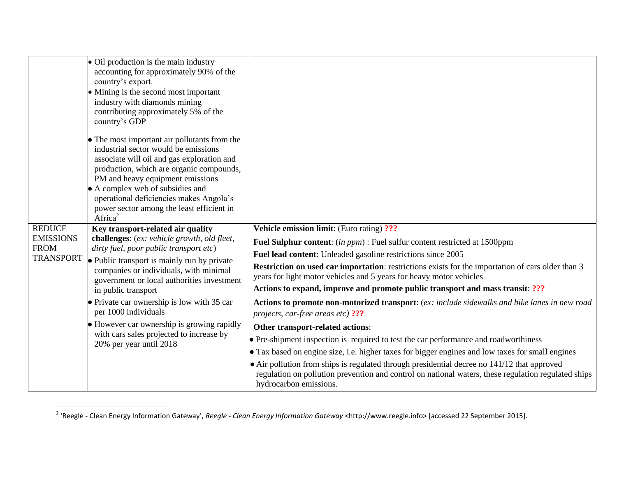|                                 | • Oil production is the main industry<br>accounting for approximately 90% of the<br>country's export.<br>• Mining is the second most important<br>industry with diamonds mining<br>contributing approximately 5% of the<br>country's GDP                                                                                                                              |                                                                                                                                                                                                                                      |
|---------------------------------|-----------------------------------------------------------------------------------------------------------------------------------------------------------------------------------------------------------------------------------------------------------------------------------------------------------------------------------------------------------------------|--------------------------------------------------------------------------------------------------------------------------------------------------------------------------------------------------------------------------------------|
|                                 | • The most important air pollutants from the<br>industrial sector would be emissions<br>associate will oil and gas exploration and<br>production, which are organic compounds,<br>PM and heavy equipment emissions<br>• A complex web of subsidies and<br>operational deficiencies makes Angola's<br>power sector among the least efficient in<br>Africa <sup>2</sup> |                                                                                                                                                                                                                                      |
| <b>REDUCE</b>                   | Key transport-related air quality<br>challenges: (ex: vehicle growth, old fleet,<br>dirty fuel, poor public transport etc)<br>• Public transport is mainly run by private<br>companies or individuals, with minimal<br>government or local authorities investment<br>in public transport                                                                              | <b>Vehicle emission limit:</b> (Euro rating) ???                                                                                                                                                                                     |
| <b>EMISSIONS</b><br><b>FROM</b> |                                                                                                                                                                                                                                                                                                                                                                       | Fuel Sulphur content: (in ppm) : Fuel sulfur content restricted at 1500ppm                                                                                                                                                           |
| <b>TRANSPORT</b>                |                                                                                                                                                                                                                                                                                                                                                                       | Fuel lead content: Unleaded gasoline restrictions since 2005                                                                                                                                                                         |
|                                 |                                                                                                                                                                                                                                                                                                                                                                       | <b>Restriction on used car importation:</b> restrictions exists for the importation of cars older than 3<br>years for light motor vehicles and 5 years for heavy motor vehicles                                                      |
|                                 |                                                                                                                                                                                                                                                                                                                                                                       | Actions to expand, improve and promote public transport and mass transit: ???                                                                                                                                                        |
|                                 | • Private car ownership is low with 35 car<br>per 1000 individuals                                                                                                                                                                                                                                                                                                    | Actions to promote non-motorized transport: (ex: include sidewalks and bike lanes in new road<br>projects, car-free areas etc) ???                                                                                                   |
|                                 | • However car ownership is growing rapidly<br>with cars sales projected to increase by<br>20% per year until 2018                                                                                                                                                                                                                                                     | Other transport-related actions:                                                                                                                                                                                                     |
|                                 |                                                                                                                                                                                                                                                                                                                                                                       | • Pre-shipment inspection is required to test the car performance and roadworthiness                                                                                                                                                 |
|                                 |                                                                                                                                                                                                                                                                                                                                                                       | • Tax based on engine size, i.e. higher taxes for bigger engines and low taxes for small engines                                                                                                                                     |
|                                 |                                                                                                                                                                                                                                                                                                                                                                       | $\bullet$ Air pollution from ships is regulated through presidential decree no 141/12 that approved<br>regulation on pollution prevention and control on national waters, these regulation regulated ships<br>hydrocarbon emissions. |

 2 'Reegle - Clean Energy Information Gateway', *Reegle - Clean Energy Information Gateway* <http://www.reegle.info> [accessed 22 September 2015].